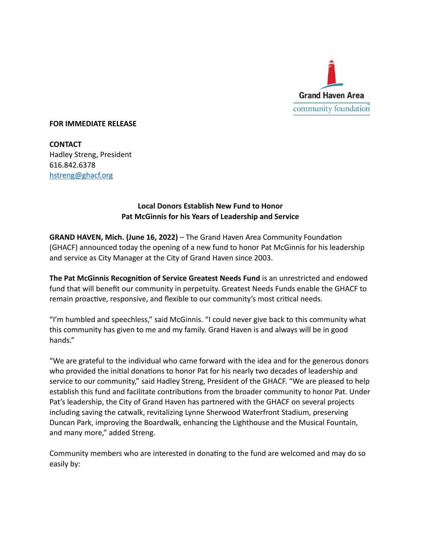

## **FOR IMMEDIATE RELEASE**

**CONTACT** Hadley Streng, President 616.842.6378 [hstreng@ghacf.org](mailto:hstreng@ghacf.org)

## **Local Donors Establish New Fund to Honor Pat McGinnis for his Years of Leadership and Service**

**GRAND HAVEN, Mich. (June 16, 2022)** – The Grand Haven Area Community Foundation (GHACF) announced today the opening of a new fund to honor Pat McGinnis for his leadership and service as City Manager at the City of Grand Haven since 2003.

**The Pat McGinnis Recognition of Service Greatest Needs Fund** is an unrestricted and endowed fund that will benefit our community in perpetuity. Greatest Needs Funds enable the GHACF to remain proactive, responsive, and flexible to our community's most critical needs.

"I'm humbled and speechless," said McGinnis. "I could never give back to this community what this community has given to me and my family. Grand Haven is and always will be in good hands."

"We are grateful to the individual who came forward with the idea and for the generous donors who provided the initial donations to honor Pat for his nearly two decades of leadership and service to our community," said Hadley Streng, President of the GHACF. "We are pleased to help establish this fund and facilitate contributions from the broader community to honor Pat. Under Pat's leadership, the City of Grand Haven has partnered with the GHACF on several projects including saving the catwalk, revitalizing Lynne Sherwood Waterfront Stadium, preserving Duncan Park, improving the Boardwalk, enhancing the Lighthouse and the Musical Fountain, and many more," added Streng.

Community members who are interested in donating to the fund are welcomed and may do so easily by: